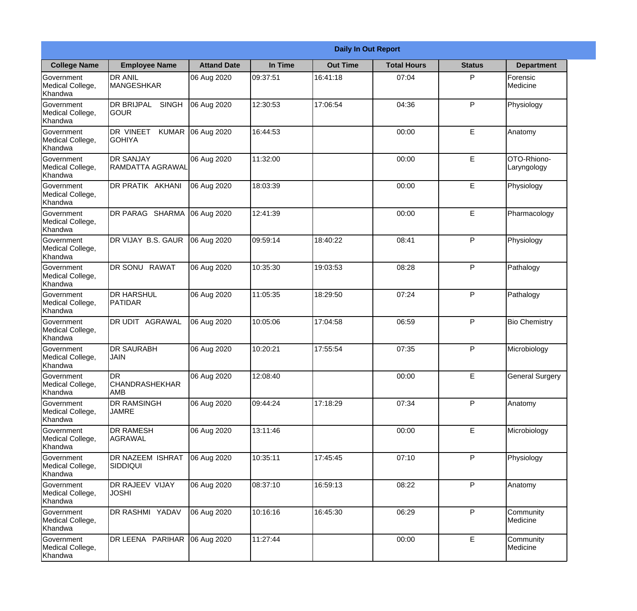|                                           |                                            |                    |          | <b>Daily In Out Report</b> |                    |               |                            |
|-------------------------------------------|--------------------------------------------|--------------------|----------|----------------------------|--------------------|---------------|----------------------------|
| <b>College Name</b>                       | <b>Employee Name</b>                       | <b>Attand Date</b> | In Time  | <b>Out Time</b>            | <b>Total Hours</b> | <b>Status</b> | <b>Department</b>          |
| Government<br>Medical College,<br>Khandwa | <b>DR ANIL</b><br>MANGESHKAR               | 06 Aug 2020        | 09:37:51 | 16:41:18                   | 07:04              | P             | Forensic<br>Medicine       |
| Government<br>Medical College,<br>Khandwa | DR BRIJPAL<br><b>SINGH</b><br><b>GOUR</b>  | 06 Aug 2020        | 12:30:53 | 17:06:54                   | 04:36              | P             | Physiology                 |
| Government<br>Medical College,<br>Khandwa | DR VINEET<br><b>KUMAR</b><br><b>GOHIYA</b> | 06 Aug 2020        | 16:44:53 |                            | 00:00              | E             | Anatomy                    |
| Government<br>Medical College,<br>Khandwa | <b>DR SANJAY</b><br>RAMDATTA AGRAWAL       | 06 Aug 2020        | 11:32:00 |                            | 00:00              | E             | OTO-Rhiono-<br>Laryngology |
| Government<br>Medical College,<br>Khandwa | DR PRATIK AKHANI                           | 06 Aug 2020        | 18:03:39 |                            | 00:00              | E             | Physiology                 |
| Government<br>Medical College,<br>Khandwa | DR PARAG SHARMA                            | 06 Aug 2020        | 12:41:39 |                            | 00:00              | E             | Pharmacology               |
| Government<br>Medical College,<br>Khandwa | DR VIJAY B.S. GAUR                         | 06 Aug 2020        | 09:59:14 | 18:40:22                   | 08:41              | P             | Physiology                 |
| Government<br>Medical College,<br>Khandwa | DR SONU RAWAT                              | 06 Aug 2020        | 10:35:30 | 19:03:53                   | 08:28              | P             | Pathalogy                  |
| Government<br>Medical College,<br>Khandwa | <b>DR HARSHUL</b><br>PATIDAR               | 06 Aug 2020        | 11:05:35 | 18:29:50                   | 07:24              | P             | Pathalogy                  |
| Government<br>Medical College,<br>Khandwa | DR UDIT AGRAWAL                            | 06 Aug 2020        | 10:05:06 | 17:04:58                   | 06:59              | P             | <b>Bio Chemistry</b>       |
| Government<br>Medical College,<br>Khandwa | <b>DR SAURABH</b><br><b>JAIN</b>           | 06 Aug 2020        | 10:20:21 | 17:55:54                   | 07:35              | $\mathsf{P}$  | Microbiology               |
| Government<br>Medical College,<br>Khandwa | <b>DR</b><br><b>CHANDRASHEKHAR</b><br>AMB  | 06 Aug 2020        | 12:08:40 |                            | 00:00              | E             | <b>General Surgery</b>     |
| Government<br>Medical College,<br>Khandwa | DR RAMSINGH<br><b>JAMRE</b>                | 06 Aug 2020        | 09:44:24 | 17:18:29                   | 07:34              | P             | Anatomy                    |
| Government<br>Medical College,<br>Khandwa | DR RAMESH<br><b>AGRAWAL</b>                | 06 Aug 2020        | 13:11:46 |                            | 00:00              | E             | Microbiology               |
| Government<br>Medical College,<br>Khandwa | DR NAZEEM ISHRAT<br><b>SIDDIQUI</b>        | 06 Aug 2020        | 10:35:11 | 17:45:45                   | 07:10              | $\mathsf{P}$  | Physiology                 |
| Government<br>Medical College,<br>Khandwa | DR RAJEEV VIJAY<br><b>JOSHI</b>            | 06 Aug 2020        | 08:37:10 | 16:59:13                   | 08:22              | P             | Anatomy                    |
| Government<br>Medical College,<br>Khandwa | DR RASHMI YADAV                            | 06 Aug 2020        | 10:16:16 | 16:45:30                   | 06:29              | P             | Community<br>Medicine      |
| Government<br>Medical College,<br>Khandwa | DR LEENA PARIHAR                           | 06 Aug 2020        | 11:27:44 |                            | 00:00              | E             | Community<br>Medicine      |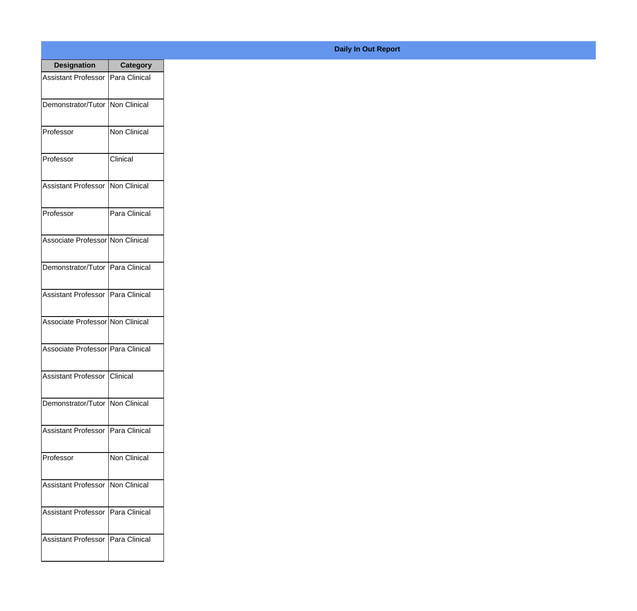| <b>Designation</b>                         | Category      |
|--------------------------------------------|---------------|
| <b>Assistant Professor   Para Clinical</b> |               |
| Demonstrator/Tutor   Non Clinical          |               |
| Professor                                  | Non Clinical  |
| Professor                                  | Clinical      |
| <b>Assistant Professor</b>                 | Non Clinical  |
| Professor                                  | Para Clinical |
| Associate Professor Non Clinical           |               |
| Demonstrator/Tutor   Para Clinical         |               |
| Assistant Professor   Para Clinical        |               |
| Associate Professor Non Clinical           |               |
| Associate Professor   Para Clinical        |               |
| Assistant Professor   Clinical             |               |
| Demonstrator/Tutor   Non Clinical          |               |
| Assistant Professor   Para Clinical        |               |
| Professor                                  | Non Clinical  |
| <b>Assistant Professor</b>                 | Non Clinical  |
| <b>Assistant Professor</b>                 | Para Clinical |
| <b>Assistant Professor</b>                 | Para Clinical |

## **Daily In Out Report**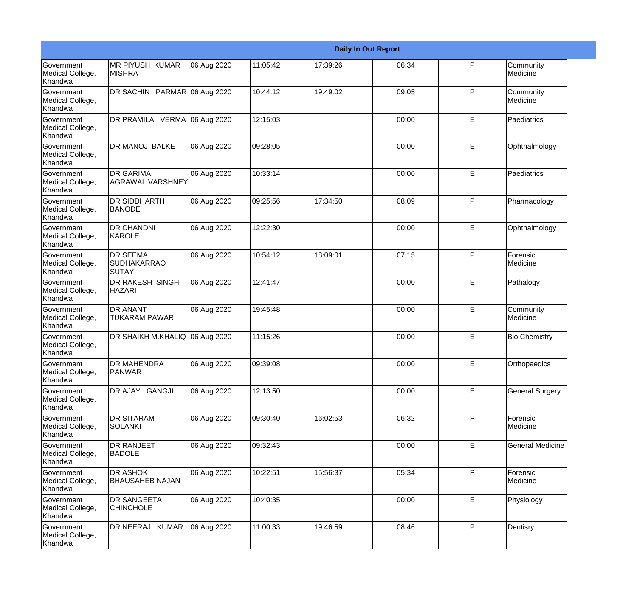|                                                  |                                                       |             |           |          | <b>Daily In Out Report</b> |              |                         |
|--------------------------------------------------|-------------------------------------------------------|-------------|-----------|----------|----------------------------|--------------|-------------------------|
| Government<br>Medical College,<br>Khandwa        | <b>MR PIYUSH KUMAR</b><br><b>MISHRA</b>               | 06 Aug 2020 | 11:05:42  | 17:39:26 | 06:34                      | P            | Community<br>Medicine   |
| <b>Government</b><br>Medical College,<br>Khandwa | DR SACHIN PARMAR 06 Aug 2020                          |             | 10:44:12  | 19:49:02 | 09:05                      | $\mathsf{P}$ | Community<br>Medicine   |
| <b>Government</b><br>Medical College,<br>Khandwa | DR PRAMILA VERMA 06 Aug 2020                          |             | 12:15:03  |          | 00:00                      | E            | Paediatrics             |
| <b>Government</b><br>Medical College,<br>Khandwa | DR MANOJ BALKE                                        | 06 Aug 2020 | 109:28:05 |          | 00:00                      | E            | Ophthalmology           |
| Government<br>Medical College,<br>Khandwa        | <b>DR GARIMA</b><br><b>AGRAWAL VARSHNEY</b>           | 06 Aug 2020 | 10:33:14  |          | 00:00                      | E            | Paediatrics             |
| <b>Government</b><br>Medical College,<br>Khandwa | <b>DR SIDDHARTH</b><br>BANODE                         | 06 Aug 2020 | 09:25:56  | 17:34:50 | 08:09                      | P            | Pharmacology            |
| Government<br>Medical College,<br>Khandwa        | <b>DR CHANDNI</b><br>KAROLE                           | 06 Aug 2020 | 12:22:30  |          | 00:00                      | E            | Ophthalmology           |
| Government<br>Medical College,<br>Khandwa        | <b>DR SEEMA</b><br><b>SUDHAKARRAO</b><br><b>SUTAY</b> | 06 Aug 2020 | 10:54:12  | 18:09:01 | 07:15                      | P            | Forensic<br>Medicine    |
| <b>Government</b><br>Medical College,<br>Khandwa | <b>DR RAKESH SINGH</b><br><b>HAZARI</b>               | 06 Aug 2020 | 12:41:47  |          | 00:00                      | E            | Pathalogy               |
| <b>Government</b><br>Medical College,<br>Khandwa | <b>DR ANANT</b><br><b>TUKARAM PAWAR</b>               | 06 Aug 2020 | 19:45:48  |          | 00:00                      | E            | Community<br>Medicine   |
| <b>Government</b><br>Medical College,<br>Khandwa | DR SHAIKH M.KHALIQ 06 Aug 2020                        |             | 11:15:26  |          | 00:00                      | E            | <b>Bio Chemistry</b>    |
| Government<br>Medical College,<br>Khandwa        | <b>DR MAHENDRA</b><br><b>PANWAR</b>                   | 06 Aug 2020 | 09:39:08  |          | 00:00                      | E            | Orthopaedics            |
| <b>Government</b><br>Medical College,<br>Khandwa | DR AJAY GANGJI                                        | 06 Aug 2020 | 12:13:50  |          | 00:00                      | E            | <b>General Surgery</b>  |
| Government<br>Medical College,<br>Khandwa        | <b>DR SITARAM</b><br><b>SOLANKI</b>                   | 06 Aug 2020 | 09:30:40  | 16:02:53 | 06:32                      | $\mathsf{P}$ | Forensic<br>Medicine    |
| Government<br>Medical College,<br>Khandwa        | <b>DR RANJEET</b><br><b>BADOLE</b>                    | 06 Aug 2020 | 09:32:43  |          | 00:00                      | E            | <b>General Medicine</b> |
| Government<br>Medical College,<br>Khandwa        | <b>DR ASHOK</b><br><b>BHAUSAHEB NAJAN</b>             | 06 Aug 2020 | 10:22:51  | 15:56:37 | 05:34                      | P            | Forensic<br>Medicine    |
| Government<br>Medical College,<br>Khandwa        | <b>DR SANGEETA</b><br><b>CHINCHOLE</b>                | 06 Aug 2020 | 10:40:35  |          | 00:00                      | E            | Physiology              |
| Government<br>Medical College,<br>Khandwa        | DR NEERAJ KUMAR                                       | 06 Aug 2020 | 11:00:33  | 19:46:59 | 08:46                      | $\mathsf{P}$ | Dentisry                |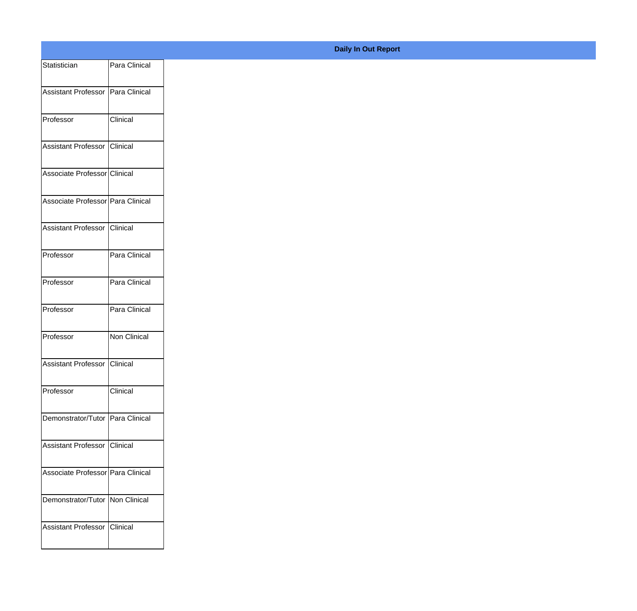| Statistician                      | Para Clinical |
|-----------------------------------|---------------|
| Assistant Professor Para Clinical |               |
|                                   |               |
| Professor                         | Clinical      |
| Assistant Professor Clinical      |               |
| Associate Professor Clinical      |               |
| Associate Professor Para Clinical |               |
| Assistant Professor Clinical      |               |
| Professor                         | Para Clinical |
| Professor                         | Para Clinical |
| Professor                         | Para Clinical |
| Professor                         | Non Clinical  |
| Assistant Professor Clinical      |               |
| Professor                         | Clinical      |
| Demonstrator/Tutor Para Clinical  |               |
| Assistant Professor Clinical      |               |
| Associate Professor Para Clinical |               |
| Demonstrator/Tutor Non Clinical   |               |
|                                   |               |
| Assistant Professor Clinical      |               |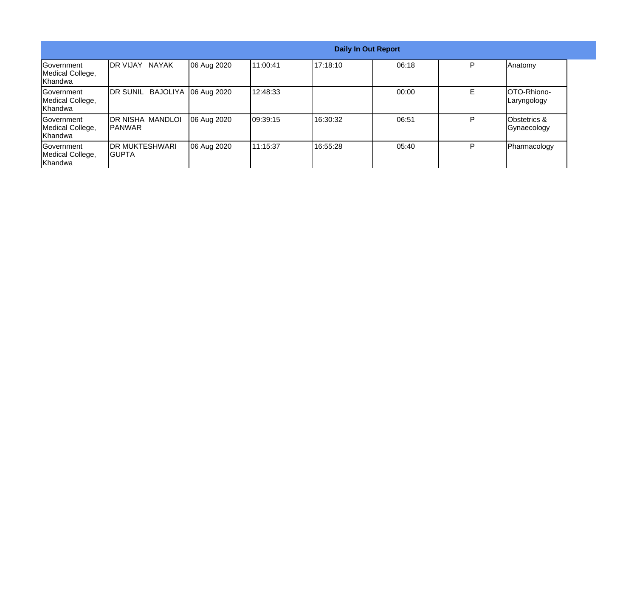|                                                  |                                     |             |           | <b>Daily In Out Report</b> |       |    |                                        |
|--------------------------------------------------|-------------------------------------|-------------|-----------|----------------------------|-------|----|----------------------------------------|
| Government<br>Medical College,<br>Khandwa        | <b>IDR VIJAY</b><br><b>NAYAK</b>    | 06 Aug 2020 | 11:00:41  | 17:18:10                   | 06:18 | P  | Anatomy                                |
| <b>Sovernment</b><br>Medical College,<br>Khandwa | <b>BAJOLIYA</b><br><b>IDR SUNIL</b> | 06 Aug 2020 | 12:48:33  |                            | 00:00 | E. | OTO-Rhiono-<br>Laryngology             |
| Government<br>Medical College,<br>Khandwa        | DR NISHA MANDLOI<br>IPANWAR         | 06 Aug 2020 | 109:39:15 | 16:30:32                   | 06:51 | D  | <b>Obstetrics &amp;</b><br>Gynaecology |
| <b>Government</b><br>Medical College,<br>Khandwa | <b>DR MUKTESHWARI</b><br>IGUPTA     | 06 Aug 2020 | 11:15:37  | 16:55:28                   | 05:40 | P  | Pharmacology                           |